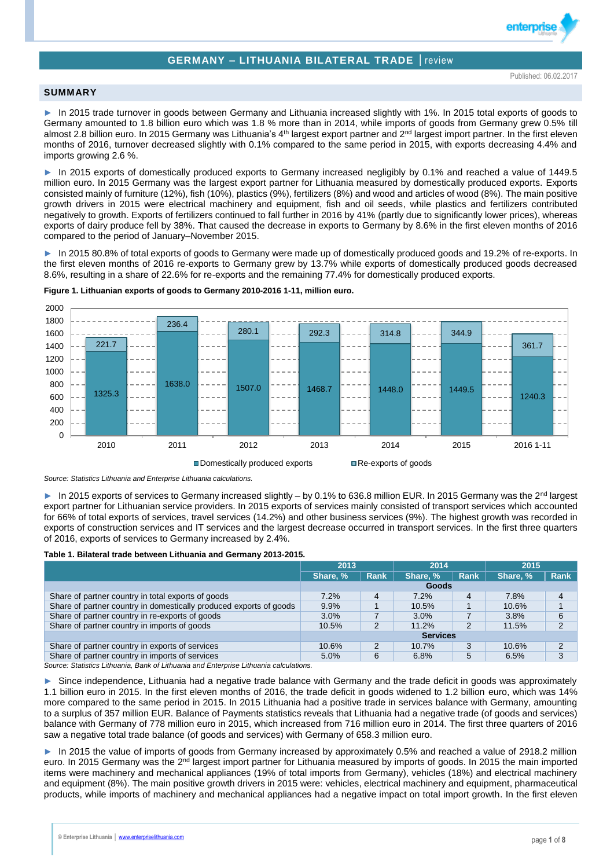# **GERMANY – LITHUANIA BILATERAL TRADE** │review

enterpri

### **SUMMARY**

► In 2015 trade turnover in goods between Germany and Lithuania increased slightly with 1%. In 2015 total exports of goods to Germany amounted to 1.8 billion euro which was 1.8 % more than in 2014, while imports of goods from Germany grew 0.5% till almost 2.8 billion euro. In 2015 Germany was Lithuania's  $4<sup>th</sup>$  largest export partner and  $2<sup>nd</sup>$  largest import partner. In the first eleven months of 2016, turnover decreased slightly with 0.1% compared to the same period in 2015, with exports decreasing 4.4% and imports growing 2.6 %.

In 2015 exports of domestically produced exports to Germany increased negligibly by 0.1% and reached a value of 1449.5 million euro. In 2015 Germany was the largest export partner for Lithuania measured by domestically produced exports. Exports consisted mainly of furniture (12%), fish (10%), plastics (9%), fertilizers (8%) and wood and articles of wood (8%). The main positive growth drivers in 2015 were electrical machinery and equipment, fish and oil seeds, while plastics and fertilizers contributed negatively to growth. Exports of fertilizers continued to fall further in 2016 by 41% (partly due to significantly lower prices), whereas exports of dairy produce fell by 38%. That caused the decrease in exports to Germany by 8.6% in the first eleven months of 2016 compared to the period of January–November 2015.

In 2015 80.8% of total exports of goods to Germany were made up of domestically produced goods and 19.2% of re-exports. In the first eleven months of 2016 re-exports to Germany grew by 13.7% while exports of domestically produced goods decreased 8.6%, resulting in a share of 22.6% for re-exports and the remaining 77.4% for domestically produced exports.



**Figure 1. Lithuanian exports of goods to Germany 2010-2016 1-11, million euro.**

*Source: Statistics Lithuania and Enterprise Lithuania calculations.*

► In 2015 exports of services to Germany increased slightly – by 0.1% to 636.8 million EUR. In 2015 Germany was the 2<sup>nd</sup> largest export partner for Lithuanian service providers. In 2015 exports of services mainly consisted of transport services which accounted for 66% of total exports of services, travel services (14.2%) and other business services (9%). The highest growth was recorded in exports of construction services and IT services and the largest decrease occurred in transport services. In the first three quarters of 2016, exports of services to Germany increased by 2.4%.

### **Table 1. Bilateral trade between Lithuania and Germany 2013-2015.**

|                                                                    | 2013            |      | 2014     |             | 2015     |             |  |
|--------------------------------------------------------------------|-----------------|------|----------|-------------|----------|-------------|--|
|                                                                    | Share, %        | Rank | Share, % | <b>Rank</b> | Share, % | <b>Rank</b> |  |
|                                                                    |                 |      | Goods    |             |          |             |  |
| Share of partner country in total exports of goods                 | 7.2%            | 4    | 7.2%     | 4           | 7.8%     | 4           |  |
| Share of partner country in domestically produced exports of goods | 9.9%            |      | 10.5%    |             | 10.6%    |             |  |
| Share of partner country in re-exports of goods                    | 3.0%            |      | 3.0%     |             | 3.8%     | 6           |  |
| Share of partner country in imports of goods                       | 10.5%           | 2    | 11.2%    | 2           | 11.5%    | 2           |  |
|                                                                    | <b>Services</b> |      |          |             |          |             |  |
| Share of partner country in exports of services                    | 10.6%           | 2    | 10.7%    | 3           | 10.6%    | ົ           |  |
| Share of partner country in imports of services                    | 5.0%            | 6    | 6.8%     | 5           | 6.5%     | 3           |  |

*Source: Statistics Lithuania, Bank of Lithuania and Enterprise Lithuania calculations.*

Since independence, Lithuania had a negative trade balance with Germany and the trade deficit in goods was approximately 1.1 billion euro in 2015. In the first eleven months of 2016, the trade deficit in goods widened to 1.2 billion euro, which was 14% more compared to the same period in 2015. In 2015 Lithuania had a positive trade in services balance with Germany, amounting to a surplus of 357 million EUR. Balance of Payments statistics reveals that Lithuania had a negative trade (of goods and services) balance with Germany of 778 million euro in 2015, which increased from 716 million euro in 2014. The first three quarters of 2016 saw a negative total trade balance (of goods and services) with Germany of 658.3 million euro.

In 2015 the value of imports of goods from Germany increased by approximately 0.5% and reached a value of 2918.2 million euro. In 2015 Germany was the 2<sup>nd</sup> largest import partner for Lithuania measured by imports of goods. In 2015 the main imported items were machinery and mechanical appliances (19% of total imports from Germany), vehicles (18%) and electrical machinery and equipment (8%). The main positive growth drivers in 2015 were: vehicles, electrical machinery and equipment, pharmaceutical products, while imports of machinery and mechanical appliances had a negative impact on total import growth. In the first eleven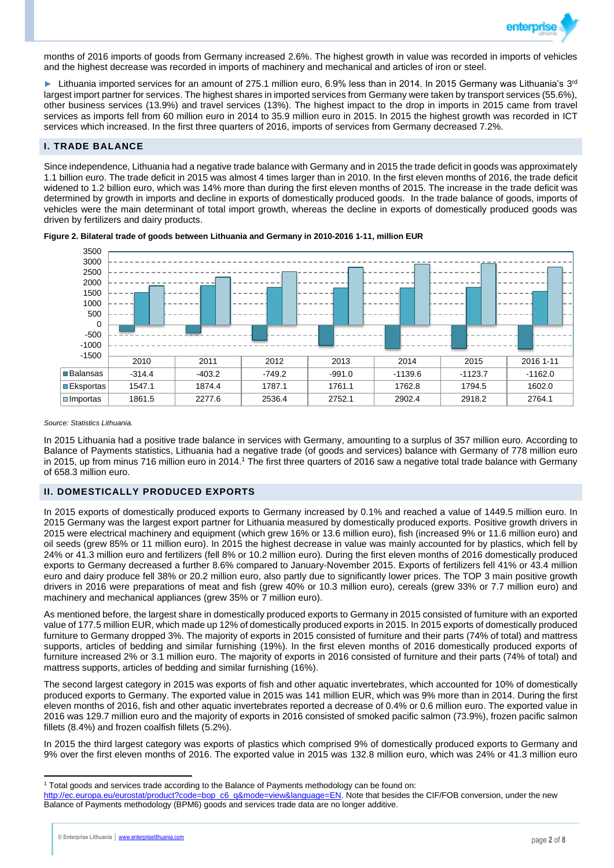

months of 2016 imports of goods from Germany increased 2.6%. The highest growth in value was recorded in imports of vehicles and the highest decrease was recorded in imports of machinery and mechanical and articles of iron or steel.

Eithuania imported services for an amount of 275.1 million euro, 6.9% less than in 2014. In 2015 Germany was Lithuania's 3<sup>rd</sup> largest import partner for services. The highest shares in imported services from Germany were taken by transport services (55.6%), other business services (13.9%) and travel services (13%). The highest impact to the drop in imports in 2015 came from travel services as imports fell from 60 million euro in 2014 to 35.9 million euro in 2015. In 2015 the highest growth was recorded in ICT services which increased. In the first three quarters of 2016, imports of services from Germany decreased 7.2%.

## **I. TRADE BALANCE**

Since independence, Lithuania had a negative trade balance with Germany and in 2015 the trade deficit in goods was approximately 1.1 billion euro. The trade deficit in 2015 was almost 4 times larger than in 2010. In the first eleven months of 2016, the trade deficit widened to 1.2 billion euro, which was 14% more than during the first eleven months of 2015. The increase in the trade deficit was determined by growth in imports and decline in exports of domestically produced goods. In the trade balance of goods, imports of vehicles were the main determinant of total import growth, whereas the decline in exports of domestically produced goods was driven by fertilizers and dairy products.



**Figure 2. Bilateral trade of goods between Lithuania and Germany in 2010-2016 1-11, million EUR**

### *Source: Statistics Lithuania.*

In 2015 Lithuania had a positive trade balance in services with Germany, amounting to a surplus of 357 million euro. According to Balance of Payments statistics, Lithuania had a negative trade (of goods and services) balance with Germany of 778 million euro in 2015, up from minus 716 million euro in 2014.<sup>1</sup> The first three quarters of 2016 saw a negative total trade balance with Germany of 658.3 million euro.

## **II. DOMESTICALLY PRODUCED EXPORTS**

In 2015 exports of domestically produced exports to Germany increased by 0.1% and reached a value of 1449.5 million euro. In 2015 Germany was the largest export partner for Lithuania measured by domestically produced exports. Positive growth drivers in 2015 were electrical machinery and equipment (which grew 16% or 13.6 million euro), fish (increased 9% or 11.6 million euro) and oil seeds (grew 85% or 11 million euro). In 2015 the highest decrease in value was mainly accounted for by plastics, which fell by 24% or 41.3 million euro and fertilizers (fell 8% or 10.2 million euro). During the first eleven months of 2016 domestically produced exports to Germany decreased a further 8.6% compared to January-November 2015. Exports of fertilizers fell 41% or 43.4 million euro and dairy produce fell 38% or 20.2 million euro, also partly due to significantly lower prices. The TOP 3 main positive growth drivers in 2016 were preparations of meat and fish (grew 40% or 10.3 million euro), cereals (grew 33% or 7.7 million euro) and machinery and mechanical appliances (grew 35% or 7 million euro).

As mentioned before, the largest share in domestically produced exports to Germany in 2015 consisted of furniture with an exported value of 177.5 million EUR, which made up 12% of domestically produced exports in 2015. In 2015 exports of domestically produced furniture to Germany dropped 3%. The majority of exports in 2015 consisted of furniture and their parts (74% of total) and mattress supports, articles of bedding and similar furnishing (19%). In the first eleven months of 2016 domestically produced exports of furniture increased 2% or 3.1 million euro. The majority of exports in 2016 consisted of furniture and their parts (74% of total) and mattress supports, articles of bedding and similar furnishing (16%).

The second largest category in 2015 was exports of fish and other aquatic invertebrates, which accounted for 10% of domestically produced exports to Germany. The exported value in 2015 was 141 million EUR, which was 9% more than in 2014. During the first eleven months of 2016, fish and other aquatic invertebrates reported a decrease of 0.4% or 0.6 million euro. The exported value in 2016 was 129.7 million euro and the majority of exports in 2016 consisted of smoked pacific salmon (73.9%), frozen pacific salmon fillets (8.4%) and frozen coalfish fillets (5.2%).

In 2015 the third largest category was exports of plastics which comprised 9% of domestically produced exports to Germany and 9% over the first eleven months of 2016. The exported value in 2015 was 132.8 million euro, which was 24% or 41.3 million euro

 $\overline{a}$ <sup>1</sup> Total goods and services trade according to the Balance of Payments methodology can be found on:

[http://ec.europa.eu/eurostat/product?code=bop\\_c6\\_q&mode=view&language=EN.](http://ec.europa.eu/eurostat/product?code=bop_c6_q&mode=view&language=EN) Note that besides the CIF/FOB conversion, under the new Balance of Payments methodology (BPM6) goods and services trade data are no longer additive.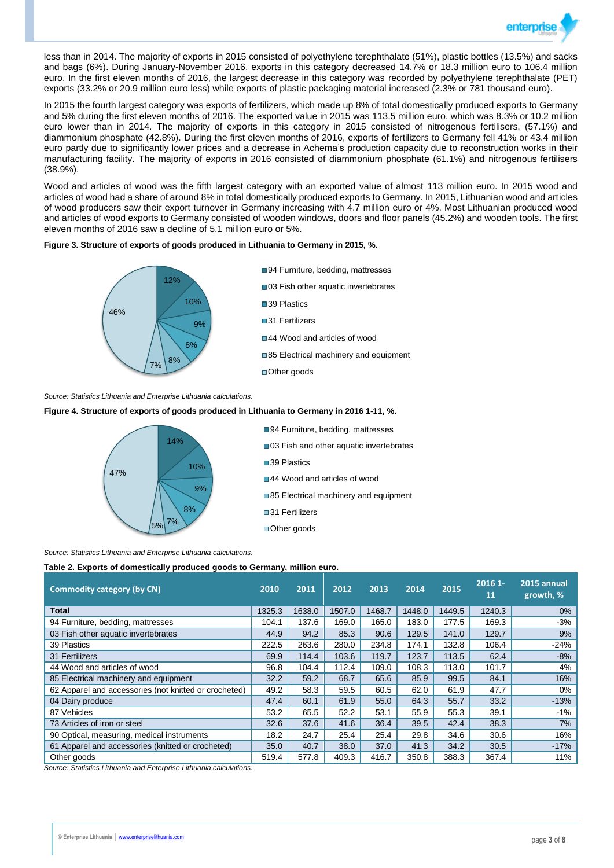

less than in 2014. The majority of exports in 2015 consisted of polyethylene terephthalate (51%), plastic bottles (13.5%) and sacks and bags (6%). During January-November 2016, exports in this category decreased 14.7% or 18.3 million euro to 106.4 million euro. In the first eleven months of 2016, the largest decrease in this category was recorded by polyethylene terephthalate (PET) exports (33.2% or 20.9 million euro less) while exports of plastic packaging material increased (2.3% or 781 thousand euro).

In 2015 the fourth largest category was exports of fertilizers, which made up 8% of total domestically produced exports to Germany and 5% during the first eleven months of 2016. The exported value in 2015 was 113.5 million euro, which was 8.3% or 10.2 million euro lower than in 2014. The majority of exports in this category in 2015 consisted of nitrogenous fertilisers, (57.1%) and diammonium phosphate (42.8%). During the first eleven months of 2016, exports of fertilizers to Germany fell 41% or 43.4 million euro partly due to significantly lower prices and a decrease in Achema's production capacity due to reconstruction works in their manufacturing facility. The majority of exports in 2016 consisted of diammonium phosphate (61.1%) and nitrogenous fertilisers (38.9%).

Wood and articles of wood was the fifth largest category with an exported value of almost 113 million euro. In 2015 wood and articles of wood had a share of around 8% in total domestically produced exports to Germany. In 2015, Lithuanian wood and articles of wood producers saw their export turnover in Germany increasing with 4.7 million euro or 4%. Most Lithuanian produced wood and articles of wood exports to Germany consisted of wooden windows, doors and floor panels (45.2%) and wooden tools. The first eleven months of 2016 saw a decline of 5.1 million euro or 5%.

### **Figure 3. Structure of exports of goods produced in Lithuania to Germany in 2015, %.**



*Source: Statistics Lithuania and Enterprise Lithuania calculations.*

### **Figure 4. Structure of exports of goods produced in Lithuania to Germany in 2016 1-11, %.**



■94 Furniture, bedding, mattresses ■03 Fish and other aquatic invertebrates ■39 Plastics ■44 Wood and articles of wood ■85 Electrical machinery and equipment ■31 Fertilizers ■Other goods

*Source: Statistics Lithuania and Enterprise Lithuania calculations.*

### **Table 2. Exports of domestically produced goods to Germany, million euro.**

| <b>Commodity category (by CN)</b>                     | 2010   | 2011   | 2012   | 2013   | 2014   | 2015   | $20161 -$<br>11 | 2015 annual<br>growth, % |
|-------------------------------------------------------|--------|--------|--------|--------|--------|--------|-----------------|--------------------------|
| <b>Total</b>                                          | 1325.3 | 1638.0 | 1507.0 | 1468.7 | 1448.0 | 1449.5 | 1240.3          | $0\%$                    |
| 94 Furniture, bedding, mattresses                     | 104.1  | 137.6  | 169.0  | 165.0  | 183.0  | 177.5  | 169.3           | -3%                      |
| 03 Fish other aquatic invertebrates                   | 44.9   | 94.2   | 85.3   | 90.6   | 129.5  | 141.0  | 129.7           | 9%                       |
| 39 Plastics                                           | 222.5  | 263.6  | 280.0  | 234.8  | 174.1  | 132.8  | 106.4           | $-24%$                   |
| 31 Fertilizers                                        | 69.9   | 114.4  | 103.6  | 119.7  | 123.7  | 113.5  | 62.4            | $-8%$                    |
| 44 Wood and articles of wood                          | 96.8   | 104.4  | 112.4  | 109.0  | 108.3  | 113.0  | 101.7           | 4%                       |
| 85 Electrical machinery and equipment                 | 32.2   | 59.2   | 68.7   | 65.6   | 85.9   | 99.5   | 84.1            | 16%                      |
| 62 Apparel and accessories (not knitted or crocheted) | 49.2   | 58.3   | 59.5   | 60.5   | 62.0   | 61.9   | 47.7            | $0\%$                    |
| 04 Dairy produce                                      | 47.4   | 60.1   | 61.9   | 55.0   | 64.3   | 55.7   | 33.2            | $-13%$                   |
| 87 Vehicles                                           | 53.2   | 65.5   | 52.2   | 53.1   | 55.9   | 55.3   | 39.1            | -1%                      |
| 73 Articles of iron or steel                          | 32.6   | 37.6   | 41.6   | 36.4   | 39.5   | 42.4   | 38.3            | 7%                       |
| 90 Optical, measuring, medical instruments            | 18.2   | 24.7   | 25.4   | 25.4   | 29.8   | 34.6   | 30.6            | 16%                      |
| 61 Apparel and accessories (knitted or crocheted)     | 35.0   | 40.7   | 38.0   | 37.0   | 41.3   | 34.2   | 30.5            | $-17%$                   |
| Other goods                                           | 519.4  | 577.8  | 409.3  | 416.7  | 350.8  | 388.3  | 367.4           | 11%                      |

*Source: Statistics Lithuania and Enterprise Lithuania calculations.*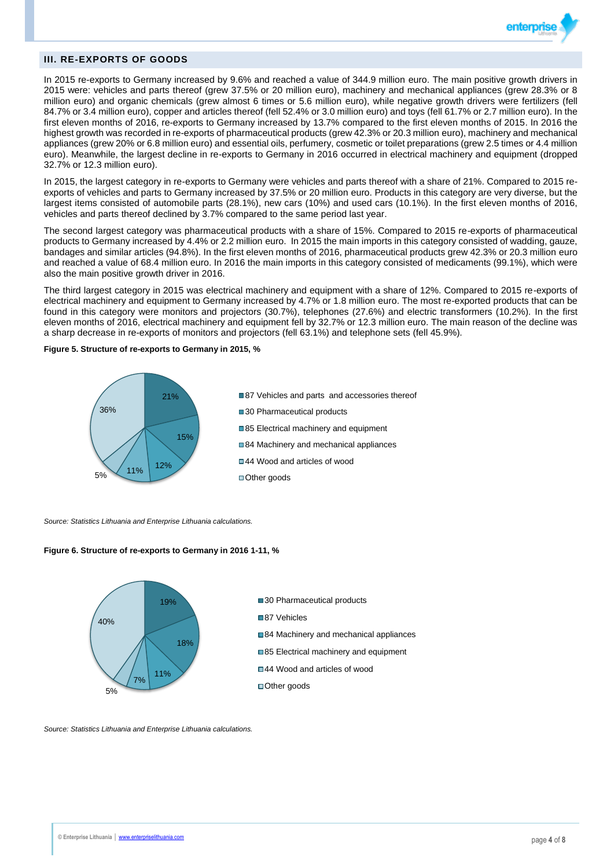

## **III. RE-EXPORTS OF GOODS**

In 2015 re-exports to Germany increased by 9.6% and reached a value of 344.9 million euro. The main positive growth drivers in 2015 were: vehicles and parts thereof (grew 37.5% or 20 million euro), machinery and mechanical appliances (grew 28.3% or 8 million euro) and organic chemicals (grew almost 6 times or 5.6 million euro), while negative growth drivers were fertilizers (fell 84.7% or 3.4 million euro), copper and articles thereof (fell 52.4% or 3.0 million euro) and toys (fell 61.7% or 2.7 million euro). In the first eleven months of 2016, re-exports to Germany increased by 13.7% compared to the first eleven months of 2015. In 2016 the highest growth was recorded in re-exports of pharmaceutical products (grew 42.3% or 20.3 million euro), machinery and mechanical appliances (grew 20% or 6.8 million euro) and essential oils, perfumery, cosmetic or toilet preparations (grew 2.5 times or 4.4 million euro). Meanwhile, the largest decline in re-exports to Germany in 2016 occurred in electrical machinery and equipment (dropped 32.7% or 12.3 million euro).

In 2015, the largest category in re-exports to Germany were vehicles and parts thereof with a share of 21%. Compared to 2015 reexports of vehicles and parts to Germany increased by 37.5% or 20 million euro. Products in this category are very diverse, but the largest items consisted of automobile parts (28.1%), new cars (10%) and used cars (10.1%). In the first eleven months of 2016, vehicles and parts thereof declined by 3.7% compared to the same period last year.

The second largest category was pharmaceutical products with a share of 15%. Compared to 2015 re-exports of pharmaceutical products to Germany increased by 4.4% or 2.2 million euro. In 2015 the main imports in this category consisted of wadding, gauze, bandages and similar articles (94.8%). In the first eleven months of 2016, pharmaceutical products grew 42.3% or 20.3 million euro and reached a value of 68.4 million euro. In 2016 the main imports in this category consisted of medicaments (99.1%), which were also the main positive growth driver in 2016.

The third largest category in 2015 was electrical machinery and equipment with a share of 12%. Compared to 2015 re-exports of electrical machinery and equipment to Germany increased by 4.7% or 1.8 million euro. The most re-exported products that can be found in this category were monitors and projectors (30.7%), telephones (27.6%) and electric transformers (10.2%). In the first eleven months of 2016, electrical machinery and equipment fell by 32.7% or 12.3 million euro. The main reason of the decline was a sharp decrease in re-exports of monitors and projectors (fell 63.1%) and telephone sets (fell 45.9%).

**Figure 5. Structure of re-exports to Germany in 2015, %** 



*Source: Statistics Lithuania and Enterprise Lithuania calculations.*

### **Figure 6. Structure of re-exports to Germany in 2016 1-11, %**



*Source: Statistics Lithuania and Enterprise Lithuania calculations.*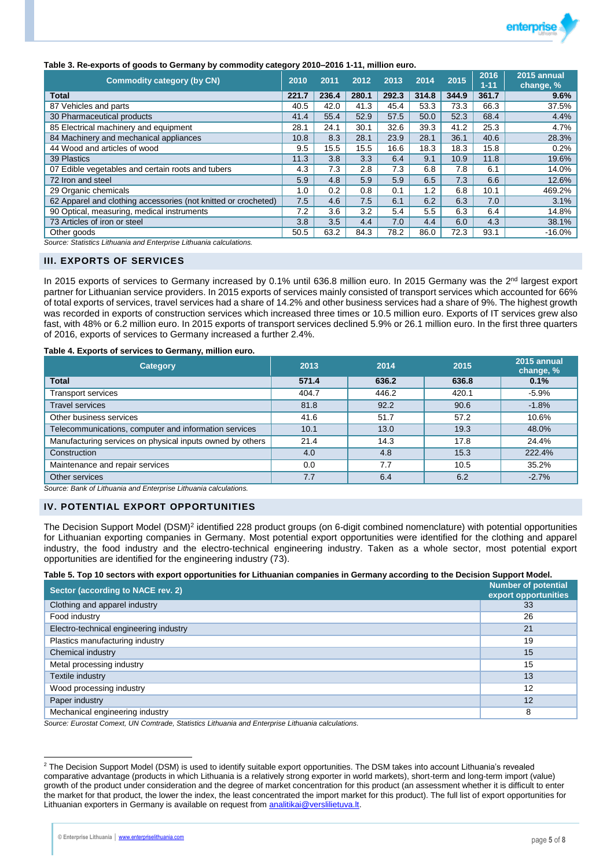

## **Table 3. Re-exports of goods to Germany by commodity category 2010–2016 1-11, million euro.**

| <b>Commodity category (by CN)</b><br>2010                      |       | 2011  | 2012  | 2013  | 2014  | 2015  | 2016<br>$1 - 11$ | 2015 annual<br>change, % |
|----------------------------------------------------------------|-------|-------|-------|-------|-------|-------|------------------|--------------------------|
| <b>Total</b>                                                   | 221.7 | 236.4 | 280.1 | 292.3 | 314.8 | 344.9 | 361.7            | 9.6%                     |
| 87 Vehicles and parts                                          | 40.5  | 42.0  | 41.3  | 45.4  | 53.3  | 73.3  | 66.3             | 37.5%                    |
| 30 Pharmaceutical products                                     | 41.4  | 55.4  | 52.9  | 57.5  | 50.0  | 52.3  | 68.4             | 4.4%                     |
| 85 Electrical machinery and equipment                          | 28.1  | 24.1  | 30.1  | 32.6  | 39.3  | 41.2  | 25.3             | 4.7%                     |
| 84 Machinery and mechanical appliances                         | 10.8  | 8.3   | 28.1  | 23.9  | 28.1  | 36.1  | 40.6             | 28.3%                    |
| 44 Wood and articles of wood                                   | 9.5   | 15.5  | 15.5  | 16.6  | 18.3  | 18.3  | 15.8             | 0.2%                     |
| 39 Plastics                                                    | 11.3  | 3.8   | 3.3   | 6.4   | 9.1   | 10.9  | 11.8             | 19.6%                    |
| 07 Edible vegetables and certain roots and tubers              | 4.3   | 7.3   | 2.8   | 7.3   | 6.8   | 7.8   | 6.1              | 14.0%                    |
| 72 Iron and steel                                              | 5.9   | 4.8   | 5.9   | 5.9   | 6.5   | 7.3   | 6.6              | 12.6%                    |
| 29 Organic chemicals                                           | 1.0   | 0.2   | 0.8   | 0.1   | 1.2   | 6.8   | 10.1             | 469.2%                   |
| 62 Apparel and clothing accessories (not knitted or crocheted) | 7.5   | 4.6   | 7.5   | 6.1   | 6.2   | 6.3   | 7.0              | 3.1%                     |
| 90 Optical, measuring, medical instruments                     | 7.2   | 3.6   | 3.2   | 5.4   | 5.5   | 6.3   | 6.4              | 14.8%                    |
| 73 Articles of iron or steel                                   | 3.8   | 3.5   | 4.4   | 7.0   | 4.4   | 6.0   | 4.3              | 38.1%                    |
| Other goods                                                    | 50.5  | 63.2  | 84.3  | 78.2  | 86.0  | 72.3  | 93.1             | $-16.0\%$                |

*Source: Statistics Lithuania and Enterprise Lithuania calculations.*

### **III. EXPORTS OF SERVICES**

In 2015 exports of services to Germany increased by 0.1% until 636.8 million euro. In 2015 Germany was the 2<sup>nd</sup> largest export partner for Lithuanian service providers. In 2015 exports of services mainly consisted of transport services which accounted for 66% of total exports of services, travel services had a share of 14.2% and other business services had a share of 9%. The highest growth was recorded in exports of construction services which increased three times or 10.5 million euro. Exports of IT services grew also fast, with 48% or 6.2 million euro. In 2015 exports of transport services declined 5.9% or 26.1 million euro. In the first three quarters of 2016, exports of services to Germany increased a further 2.4%.

#### **Table 4. Exports of services to Germany, million euro.**

| <b>Category</b>                                           | 2013  | 2014  | 2015  | 2015 annual<br>change, % |
|-----------------------------------------------------------|-------|-------|-------|--------------------------|
| <b>Total</b>                                              | 571.4 | 636.2 | 636.8 | 0.1%                     |
| <b>Transport services</b>                                 | 404.7 | 446.2 | 420.1 | $-5.9%$                  |
| <b>Travel services</b>                                    | 81.8  | 92.2  | 90.6  | $-1.8%$                  |
| Other business services                                   | 41.6  | 51.7  | 57.2  | 10.6%                    |
| Telecommunications, computer and information services     | 10.1  | 13.0  | 19.3  | 48.0%                    |
| Manufacturing services on physical inputs owned by others | 21.4  | 14.3  | 17.8  | 24.4%                    |
| Construction                                              | 4.0   | 4.8   | 15.3  | 222.4%                   |
| Maintenance and repair services                           | 0.0   | 7.7   | 10.5  | 35.2%                    |
| Other services                                            | 7.7   | 6.4   | 6.2   | $-2.7%$                  |

*Source: Bank of Lithuania and Enterprise Lithuania calculations.*

### **IV. POTENTIAL EXPORT OPPORTUNITIES**

The Decision Support Model (DSM)<sup>2</sup> identified 228 product groups (on 6-digit combined nomenclature) with potential opportunities for Lithuanian exporting companies in Germany. Most potential export opportunities were identified for the clothing and apparel industry, the food industry and the electro-technical engineering industry. Taken as a whole sector, most potential export opportunities are identified for the engineering industry (73).

#### **Table 5. Top 10 sectors with export opportunities for Lithuanian companies in Germany according to the Decision Support Model.**

| Sector (according to NACE rev. 2)      | <b>Number of potential</b><br>export opportunities |
|----------------------------------------|----------------------------------------------------|
| Clothing and apparel industry          | 33                                                 |
| Food industry                          | 26                                                 |
| Electro-technical engineering industry | 21                                                 |
| Plastics manufacturing industry        | 19                                                 |
| Chemical industry                      | 15                                                 |
| Metal processing industry              | 15                                                 |
| Textile industry                       | 13                                                 |
| Wood processing industry               | 12                                                 |
| Paper industry                         | 12                                                 |
| Mechanical engineering industry        | 8                                                  |

*Source: Eurostat Comext, UN Comtrade, Statistics Lithuania and Enterprise Lithuania calculations.*

 $\overline{a}$ 

<sup>&</sup>lt;sup>2</sup> The Decision Support Model (DSM) is used to identify suitable export opportunities. The DSM takes into account Lithuania's revealed comparative advantage (products in which Lithuania is a relatively strong exporter in world markets), short-term and long-term import (value) growth of the product under consideration and the degree of market concentration for this product (an assessment whether it is difficult to enter the market for that product, the lower the index, the least concentrated the import market for this product). The full list of export opportunities for Lithuanian exporters in Germany is available on request from [analitikai@verslilietuva.lt.](mailto:analitikai@verslilietuva.lt)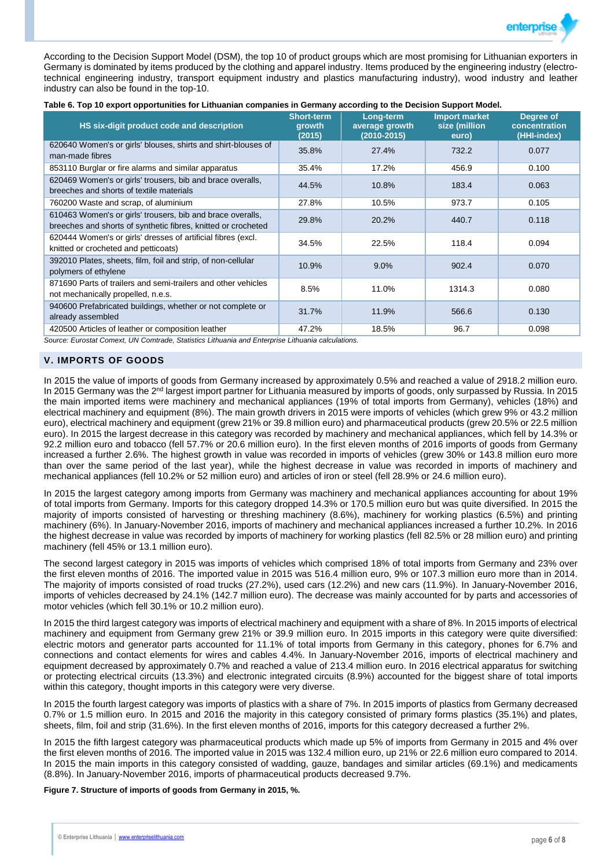

According to the Decision Support Model (DSM), the top 10 of product groups which are most promising for Lithuanian exporters in Germany is dominated by items produced by the clothing and apparel industry. Items produced by the engineering industry (electrotechnical engineering industry, transport equipment industry and plastics manufacturing industry), wood industry and leather industry can also be found in the top-10.

|  | Table 6. Top 10 export opportunities for Lithuanian companies in Germany according to the Decision Support Model. |  |  |  |  |
|--|-------------------------------------------------------------------------------------------------------------------|--|--|--|--|

| HS six-digit product code and description                                                                                   | <b>Short-term</b><br>growth<br>(2015) | Long-term<br>average growth<br>(2010-2015) | <b>Import market</b><br>size (million<br>euro) | Degree of<br>concentration<br>(HHI-index) |
|-----------------------------------------------------------------------------------------------------------------------------|---------------------------------------|--------------------------------------------|------------------------------------------------|-------------------------------------------|
| 620640 Women's or girls' blouses, shirts and shirt-blouses of<br>man-made fibres                                            | 35.8%                                 | 27.4%                                      | 732.2                                          | 0.077                                     |
| 853110 Burglar or fire alarms and similar apparatus                                                                         | 35.4%                                 | 17.2%                                      | 456.9                                          | 0.100                                     |
| 620469 Women's or girls' trousers, bib and brace overalls,<br>breeches and shorts of textile materials                      | 44.5%                                 | 10.8%                                      | 183.4                                          | 0.063                                     |
| 760200 Waste and scrap, of aluminium                                                                                        | 27.8%                                 | 10.5%                                      | 973.7                                          | 0.105                                     |
| 610463 Women's or girls' trousers, bib and brace overalls,<br>breeches and shorts of synthetic fibres, knitted or crocheted | 29.8%                                 | 20.2%                                      | 440.7                                          | 0.118                                     |
| 620444 Women's or girls' dresses of artificial fibres (excl.<br>knitted or crocheted and petticoats)                        | 34.5%                                 | 22.5%                                      | 118.4                                          | 0.094                                     |
| 392010 Plates, sheets, film, foil and strip, of non-cellular<br>polymers of ethylene                                        | 10.9%                                 | 9.0%                                       | 902.4                                          | 0.070                                     |
| 871690 Parts of trailers and semi-trailers and other vehicles<br>not mechanically propelled, n.e.s.                         | 8.5%                                  | 11.0%                                      | 1314.3                                         | 0.080                                     |
| 940600 Prefabricated buildings, whether or not complete or<br>already assembled                                             | 31.7%                                 | 11.9%                                      | 566.6                                          | 0.130                                     |
| 420500 Articles of leather or composition leather                                                                           | 47.2%                                 | 18.5%                                      | 96.7                                           | 0.098                                     |

*Source: Eurostat Comext, UN Comtrade, Statistics Lithuania and Enterprise Lithuania calculations.*

## **V. IMPORTS OF GOODS**

In 2015 the value of imports of goods from Germany increased by approximately 0.5% and reached a value of 2918.2 million euro. In 2015 Germany was the 2<sup>nd</sup> largest import partner for Lithuania measured by imports of goods, only surpassed by Russia. In 2015 the main imported items were machinery and mechanical appliances (19% of total imports from Germany), vehicles (18%) and electrical machinery and equipment (8%). The main growth drivers in 2015 were imports of vehicles (which grew 9% or 43.2 million euro), electrical machinery and equipment (grew 21% or 39.8 million euro) and pharmaceutical products (grew 20.5% or 22.5 million euro). In 2015 the largest decrease in this category was recorded by machinery and mechanical appliances, which fell by 14.3% or 92.2 million euro and tobacco (fell 57.7% or 20.6 million euro). In the first eleven months of 2016 imports of goods from Germany increased a further 2.6%. The highest growth in value was recorded in imports of vehicles (grew 30% or 143.8 million euro more than over the same period of the last year), while the highest decrease in value was recorded in imports of machinery and mechanical appliances (fell 10.2% or 52 million euro) and articles of iron or steel (fell 28.9% or 24.6 million euro).

In 2015 the largest category among imports from Germany was machinery and mechanical appliances accounting for about 19% of total imports from Germany. Imports for this category dropped 14.3% or 170.5 million euro but was quite diversified. In 2015 the majority of imports consisted of harvesting or threshing machinery (8.6%), machinery for working plastics (6.5%) and printing machinery (6%). In January-November 2016, imports of machinery and mechanical appliances increased a further 10.2%. In 2016 the highest decrease in value was recorded by imports of machinery for working plastics (fell 82.5% or 28 million euro) and printing machinery (fell 45% or 13.1 million euro).

The second largest category in 2015 was imports of vehicles which comprised 18% of total imports from Germany and 23% over the first eleven months of 2016. The imported value in 2015 was 516.4 million euro, 9% or 107.3 million euro more than in 2014. The majority of imports consisted of road trucks (27.2%), used cars (12.2%) and new cars (11.9%). In January-November 2016, imports of vehicles decreased by 24.1% (142.7 million euro). The decrease was mainly accounted for by parts and accessories of motor vehicles (which fell 30.1% or 10.2 million euro).

In 2015 the third largest category was imports of electrical machinery and equipment with a share of 8%. In 2015 imports of electrical machinery and equipment from Germany grew 21% or 39.9 million euro. In 2015 imports in this category were quite diversified: electric motors and generator parts accounted for 11.1% of total imports from Germany in this category, phones for 6.7% and connections and contact elements for wires and cables 4.4%. In January-November 2016, imports of electrical machinery and equipment decreased by approximately 0.7% and reached a value of 213.4 million euro. In 2016 electrical apparatus for switching or protecting electrical circuits (13.3%) and electronic integrated circuits (8.9%) accounted for the biggest share of total imports within this category, thought imports in this category were very diverse.

In 2015 the fourth largest category was imports of plastics with a share of 7%. In 2015 imports of plastics from Germany decreased 0.7% or 1.5 million euro. In 2015 and 2016 the majority in this category consisted of primary forms plastics (35.1%) and plates, sheets, film, foil and strip (31.6%). In the first eleven months of 2016, imports for this category decreased a further 2%.

In 2015 the fifth largest category was pharmaceutical products which made up 5% of imports from Germany in 2015 and 4% over the first eleven months of 2016. The imported value in 2015 was 132.4 million euro, up 21% or 22.6 million euro compared to 2014. In 2015 the main imports in this category consisted of wadding, gauze, bandages and similar articles (69.1%) and medicaments (8.8%). In January-November 2016, imports of pharmaceutical products decreased 9.7%.

**Figure 7. Structure of imports of goods from Germany in 2015, %.**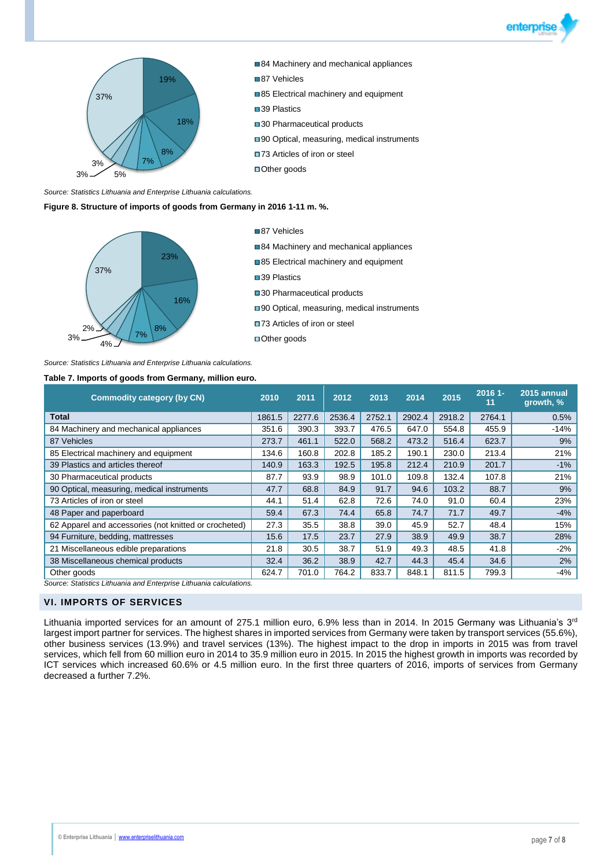



*Source: Statistics Lithuania and Enterprise Lithuania calculations.*

**Figure 8. Structure of imports of goods from Germany in 2016 1-11 m. %.**



87 Vehicles

- 84 Machinery and mechanical appliances
- 85 Electrical machinery and equipment
- ■39 Plastics

■30 Pharmaceutical products

- ■90 Optical, measuring, medical instruments
- ■73 Articles of iron or steel
- ■Other goods

#### *Source: Statistics Lithuania and Enterprise Lithuania calculations.*

#### **Table 7. Imports of goods from Germany, million euro.**

| <b>Commodity category (by CN)</b>                                  | 2010   | 2011   | 2012   | 2013   | 2014   | 2015   | $20161 -$<br>11 | 2015 annual<br>growth, % |
|--------------------------------------------------------------------|--------|--------|--------|--------|--------|--------|-----------------|--------------------------|
| <b>Total</b>                                                       | 1861.5 | 2277.6 | 2536.4 | 2752.1 | 2902.4 | 2918.2 | 2764.1          | 0.5%                     |
| 84 Machinery and mechanical appliances                             | 351.6  | 390.3  | 393.7  | 476.5  | 647.0  | 554.8  | 455.9           | $-14%$                   |
| 87 Vehicles                                                        | 273.7  | 461.1  | 522.0  | 568.2  | 473.2  | 516.4  | 623.7           | 9%                       |
| 85 Electrical machinery and equipment                              | 134.6  | 160.8  | 202.8  | 185.2  | 190.1  | 230.0  | 213.4           | 21%                      |
| 39 Plastics and articles thereof                                   | 140.9  | 163.3  | 192.5  | 195.8  | 212.4  | 210.9  | 201.7           | $-1%$                    |
| 30 Pharmaceutical products                                         | 87.7   | 93.9   | 98.9   | 101.0  | 109.8  | 132.4  | 107.8           | 21%                      |
| 90 Optical, measuring, medical instruments                         | 47.7   | 68.8   | 84.9   | 91.7   | 94.6   | 103.2  | 88.7            | 9%                       |
| 73 Articles of iron or steel                                       | 44.1   | 51.4   | 62.8   | 72.6   | 74.0   | 91.0   | 60.4            | 23%                      |
| 48 Paper and paperboard                                            | 59.4   | 67.3   | 74.4   | 65.8   | 74.7   | 71.7   | 49.7            | $-4%$                    |
| 62 Apparel and accessories (not knitted or crocheted)              | 27.3   | 35.5   | 38.8   | 39.0   | 45.9   | 52.7   | 48.4            | 15%                      |
| 94 Furniture, bedding, mattresses                                  | 15.6   | 17.5   | 23.7   | 27.9   | 38.9   | 49.9   | 38.7            | 28%                      |
| 21 Miscellaneous edible preparations                               | 21.8   | 30.5   | 38.7   | 51.9   | 49.3   | 48.5   | 41.8            | $-2\%$                   |
| 38 Miscellaneous chemical products                                 | 32.4   | 36.2   | 38.9   | 42.7   | 44.3   | 45.4   | 34.6            | 2%                       |
| Other goods                                                        | 624.7  | 701.0  | 764.2  | 833.7  | 848.1  | 811.5  | 799.3           | -4%                      |
| Course: Ctatistics Lithuania and Enterprise Lithuania seleulations |        |        |        |        |        |        |                 |                          |

*Statistics Lithuania and Enterprise Lithuania calculations.* 

## **VI. IMPORTS OF SERVICES**

Lithuania imported services for an amount of 275.1 million euro, 6.9% less than in 2014. In 2015 Germany was Lithuania's 3<sup>rd</sup> largest import partner for services. The highest shares in imported services from Germany were taken by transport services (55.6%), other business services (13.9%) and travel services (13%). The highest impact to the drop in imports in 2015 was from travel services, which fell from 60 million euro in 2014 to 35.9 million euro in 2015. In 2015 the highest growth in imports was recorded by ICT services which increased 60.6% or 4.5 million euro. In the first three quarters of 2016, imports of services from Germany decreased a further 7.2%.